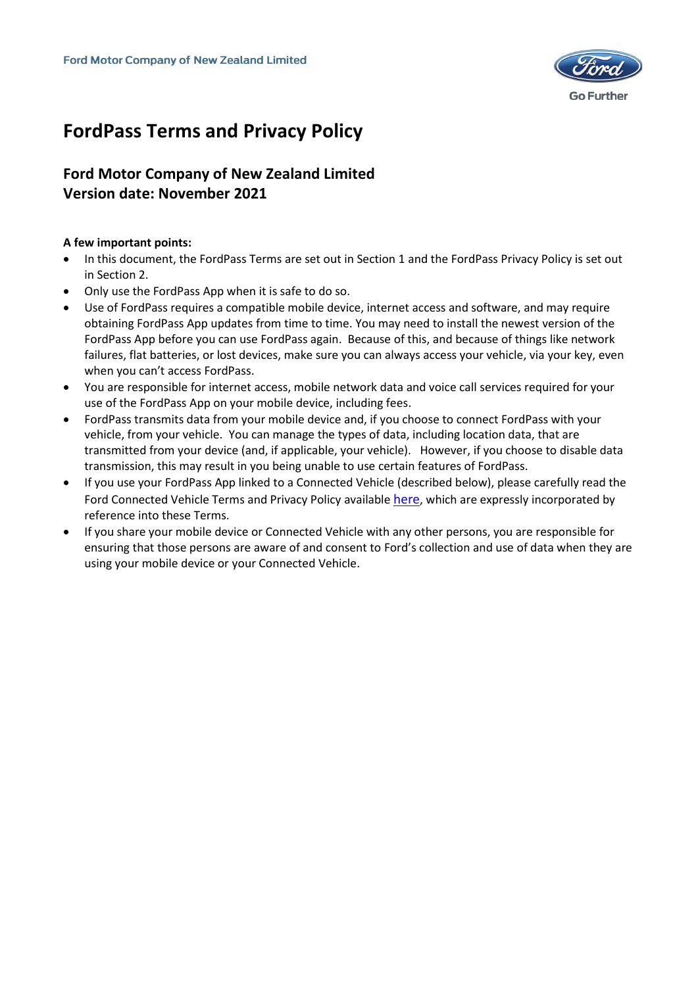

# **FordPass Terms and Privacy Policy**

# **Ford Motor Company of New Zealand Limited Version date: November 2021**

# **A few important points:**

- In this document, the FordPass Terms are set out in Section 1 and the FordPass Privacy Policy is set out in Section 2.
- Only use the FordPass App when it is safe to do so.
- Use of FordPass requires a compatible mobile device, internet access and software, and may require obtaining FordPass App updates from time to time. You may need to install the newest version of the FordPass App before you can use FordPass again. Because of this, and because of things like network failures, flat batteries, or lost devices, make sure you can always access your vehicle, via your key, even when you can't access FordPass.
- You are responsible for internet access, mobile network data and voice call services required for your use of the FordPass App on your mobile device, including fees.
- FordPass transmits data from your mobile device and, if you choose to connect FordPass with your vehicle, from your vehicle. You can manage the types of data, including location data, that are transmitted from your device (and, if applicable, your vehicle). However, if you choose to disable data transmission, this may result in you being unable to use certain features of FordPass.
- If you use your FordPass App linked to a Connected Vehicle (described below), please carefully read the Ford Connected Vehicle Terms and Privacy Policy available [here](https://www.ford.co.nz/fordpass/), which are expressly incorporated by reference into these Terms.
- If you share your mobile device or Connected Vehicle with any other persons, you are responsible for ensuring that those persons are aware of and consent to Ford's collection and use of data when they are using your mobile device or your Connected Vehicle.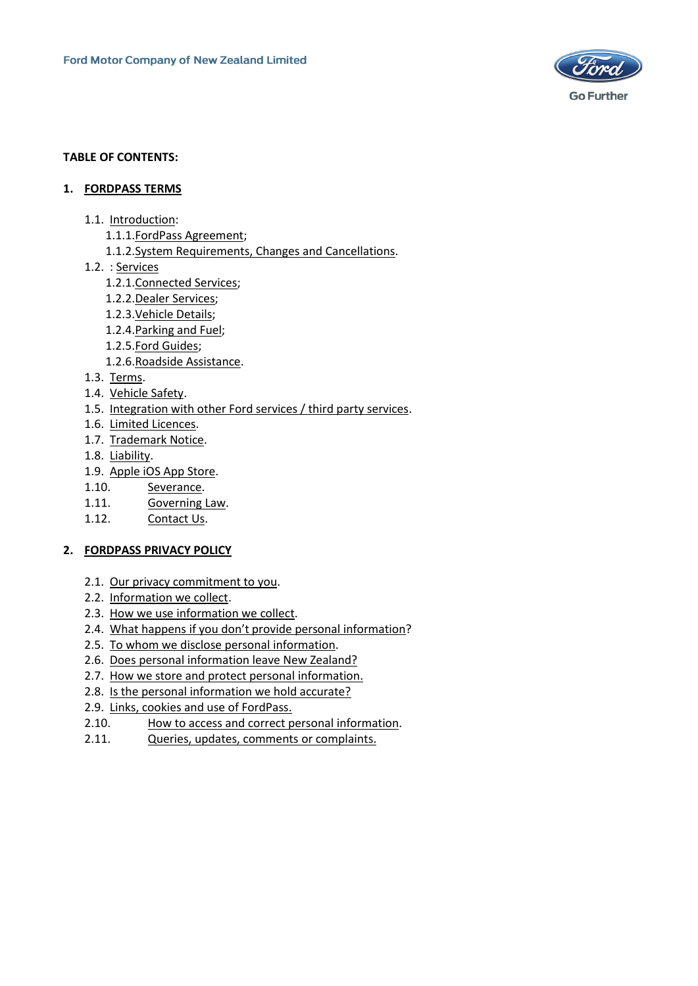

#### **TABLE OF CONTENTS:**

#### **1. [FORDPASS TERMS](#page-2-0)**

- 1.1. [Introduction:](#page-2-1)
	- 1.1.1.FordPass [Agreement;](#page-2-2)
	- 1.1.2.System [Requirements,](#page-3-0) Changes and Cancellations.
- 1.2. : [Services](#page-4-0)
	- 1.2.1[.Connected](#page-4-1) Services;
	- 1.2.2.Dealer [Services;](#page-4-2)
	- 1.2.3[.Vehicle](#page-5-0) Details;
	- 1.2.4[.Parking](#page-5-1) and Fuel;
	- 1.2.5.Ford [Guides;](#page-5-2)
	- 1.2.6.Roadside [Assistance.](#page-5-3)
- 1.3. [Terms.](#page-5-4)
- 1.4. [Vehicle](#page-6-0) Safety.
- 1.5. [Integration with other Ford services / third party services.](#page-6-1)
- 1.6. Limited [Licences.](#page-7-0)
- 1.7. [Trademark](#page-7-1) Notice.
- 1.8. [Liability.](#page-7-2)
- 1.9. Apple iOS App [Store.](#page-8-0)
- 1.10. [Severance.](#page-9-0)
- 1.11. [Governing](#page-9-1) Law.
- 1.12. [Contact](#page-9-2) Us.

#### **2. [FORDPASS PRIVACY POLICY](#page-10-0)**

- 2.1. [Our privacy commitment to you.](#page-10-1)
- 2.2. [Information we collect.](#page-10-2)
- 2.3. [How we use information we collect.](#page-11-0)
- 2.4. [What happens if you don't provide personal information](#page-13-0)?
- 2.5. [To whom we disclose personal information.](#page-13-1)
- 2.6. [Does personal information leave New Zealand?](#page-14-0)
- 2.7. [How we store and protect personal information.](#page-14-1)
- 2.8. [Is the personal information we hold accurate?](#page-14-2)
- 2.9. [Links, cookies and use of FordPass.](#page-15-0)
- 2.10. [How to access and correct personal information.](#page-15-1)
- 2.11. [Queries, updates, comments or](#page-16-0) complaints.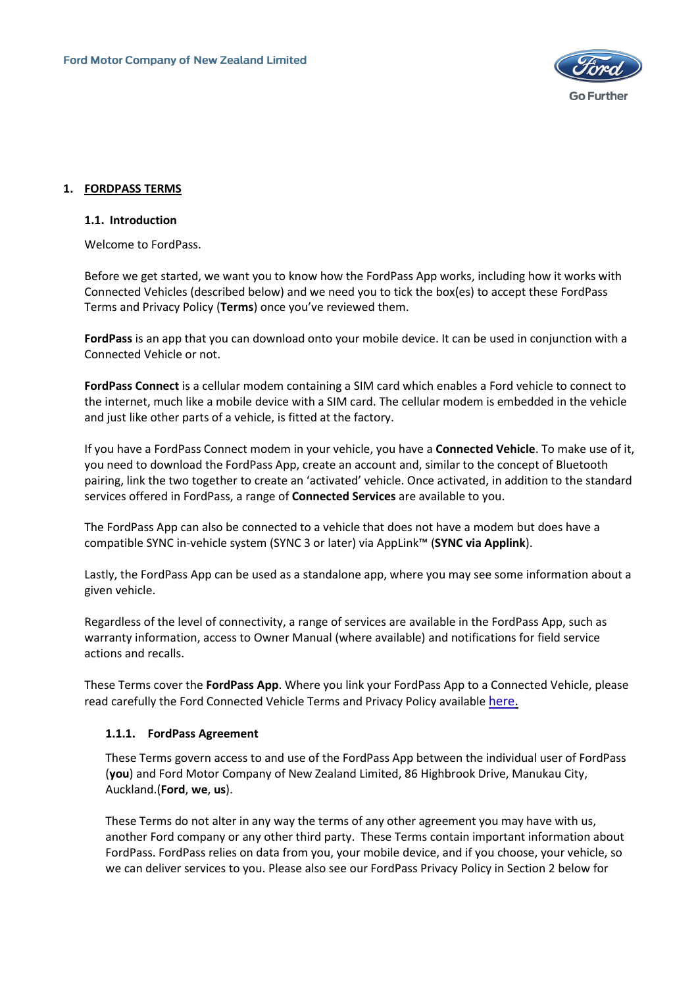

# <span id="page-2-0"></span>**1. FORDPASS TERMS**

#### <span id="page-2-1"></span>**1.1. Introduction**

Welcome to FordPass.

Before we get started, we want you to know how the FordPass App works, including how it works with Connected Vehicles (described below) and we need you to tick the box(es) to accept these FordPass Terms and Privacy Policy (**Terms**) once you've reviewed them.

**FordPass** is an app that you can download onto your mobile device. It can be used in conjunction with a Connected Vehicle or not.

**FordPass Connect** is a cellular modem containing a SIM card which enables a Ford vehicle to connect to the internet, much like a mobile device with a SIM card. The cellular modem is embedded in the vehicle and just like other parts of a vehicle, is fitted at the factory.

If you have a FordPass Connect modem in your vehicle, you have a **Connected Vehicle**. To make use of it, you need to download the FordPass App, create an account and, similar to the concept of Bluetooth pairing, link the two together to create an 'activated' vehicle. Once activated, in addition to the standard services offered in FordPass, a range of **Connected Services** are available to you.

The FordPass App can also be connected to a vehicle that does not have a modem but does have a compatible SYNC in-vehicle system (SYNC 3 or later) via AppLink™ (**SYNC via Applink**).

Lastly, the FordPass App can be used as a standalone app, where you may see some information about a given vehicle.

Regardless of the level of connectivity, a range of services are available in the FordPass App, such as warranty information, access to Owner Manual (where available) and notifications for field service actions and recalls.

These Terms cover the **FordPass App**. Where you link your FordPass App to a Connected Vehicle, please read carefully the Ford Connected Vehicle Terms and Privacy Policy available [here.](https://www.ford.co.nz/fordpass/)

#### <span id="page-2-2"></span>**1.1.1. FordPass Agreement**

These Terms govern access to and use of the FordPass App between the individual user of FordPass (**you**) and Ford Motor Company of New Zealand Limited, 86 Highbrook Drive, Manukau City, Auckland.(**Ford**, **we**, **us**).

These Terms do not alter in any way the terms of any other agreement you may have with us, another Ford company or any other third party. These Terms contain important information about FordPass. FordPass relies on data from you, your mobile device, and if you choose, your vehicle, so we can deliver services to you. Please also see our FordPass Privacy Policy in Section 2 below for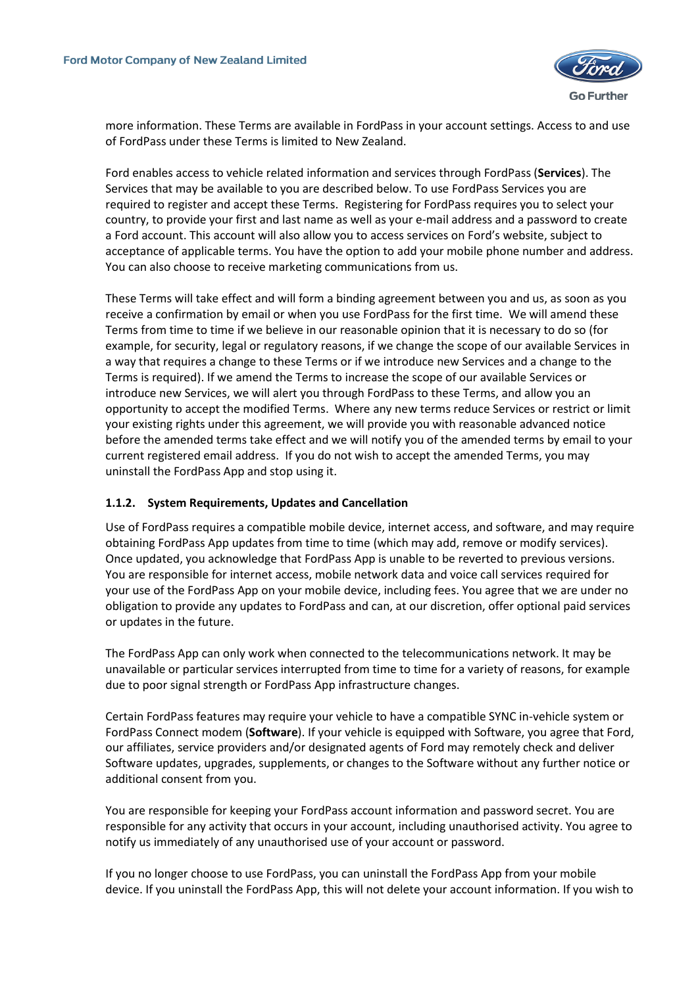

more information. These Terms are available in FordPass in your account settings. Access to and use of FordPass under these Terms is limited to New Zealand.

Ford enables access to vehicle related information and services through FordPass (**Services**). The Services that may be available to you are described below. To use FordPass Services you are required to register and accept these Terms. Registering for FordPass requires you to select your country, to provide your first and last name as well as your e-mail address and a password to create a Ford account. This account will also allow you to access services on Ford's website, subject to acceptance of applicable terms. You have the option to add your mobile phone number and address. You can also choose to receive marketing communications from us.

These Terms will take effect and will form a binding agreement between you and us, as soon as you receive a confirmation by email or when you use FordPass for the first time. We will amend these Terms from time to time if we believe in our reasonable opinion that it is necessary to do so (for example, for security, legal or regulatory reasons, if we change the scope of our available Services in a way that requires a change to these Terms or if we introduce new Services and a change to the Terms is required). If we amend the Terms to increase the scope of our available Services or introduce new Services, we will alert you through FordPass to these Terms, and allow you an opportunity to accept the modified Terms. Where any new terms reduce Services or restrict or limit your existing rights under this agreement, we will provide you with reasonable advanced notice before the amended terms take effect and we will notify you of the amended terms by email to your current registered email address. If you do not wish to accept the amended Terms, you may uninstall the FordPass App and stop using it.

#### <span id="page-3-0"></span>**1.1.2. System Requirements, Updates and Cancellation**

Use of FordPass requires a compatible mobile device, internet access, and software, and may require obtaining FordPass App updates from time to time (which may add, remove or modify services). Once updated, you acknowledge that FordPass App is unable to be reverted to previous versions. You are responsible for internet access, mobile network data and voice call services required for your use of the FordPass App on your mobile device, including fees. You agree that we are under no obligation to provide any updates to FordPass and can, at our discretion, offer optional paid services or updates in the future.

The FordPass App can only work when connected to the telecommunications network. It may be unavailable or particular services interrupted from time to time for a variety of reasons, for example due to poor signal strength or FordPass App infrastructure changes.

Certain FordPass features may require your vehicle to have a compatible SYNC in-vehicle system or FordPass Connect modem (**Software**). If your vehicle is equipped with Software, you agree that Ford, our affiliates, service providers and/or designated agents of Ford may remotely check and deliver Software updates, upgrades, supplements, or changes to the Software without any further notice or additional consent from you.

You are responsible for keeping your FordPass account information and password secret. You are responsible for any activity that occurs in your account, including unauthorised activity. You agree to notify us immediately of any unauthorised use of your account or password.

If you no longer choose to use FordPass, you can uninstall the FordPass App from your mobile device. If you uninstall the FordPass App, this will not delete your account information. If you wish to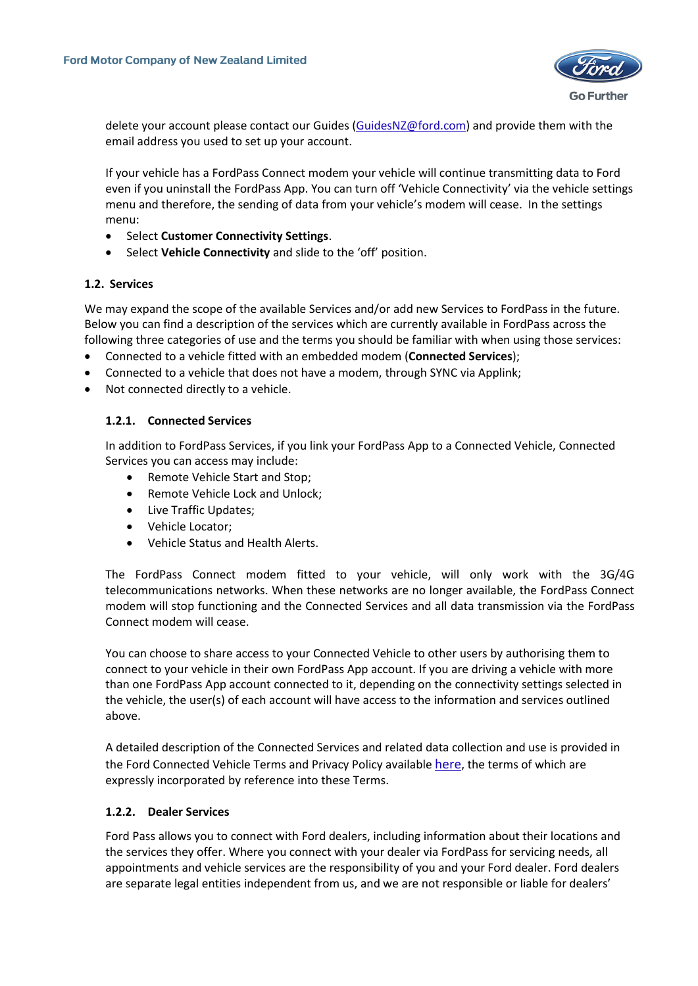

delete your account please contact our Guides [\(GuidesNZ@ford.com\)](mailto:GuidesNZ@ford.com) and provide them with the email address you used to set up your account.

If your vehicle has a FordPass Connect modem your vehicle will continue transmitting data to Ford even if you uninstall the FordPass App. You can turn off 'Vehicle Connectivity' via the vehicle settings menu and therefore, the sending of data from your vehicle's modem will cease. In the settings menu:

- Select **Customer Connectivity Settings**.
- Select **Vehicle Connectivity** and slide to the 'off' position.

# <span id="page-4-0"></span>**1.2. Services**

We may expand the scope of the available Services and/or add new Services to FordPass in the future. Below you can find a description of the services which are currently available in FordPass across the following three categories of use and the terms you should be familiar with when using those services:

- Connected to a vehicle fitted with an embedded modem (**Connected Services**);
- Connected to a vehicle that does not have a modem, through SYNC via Applink;
- <span id="page-4-1"></span>• Not connected directly to a vehicle.

# **1.2.1. Connected Services**

In addition to FordPass Services, if you link your FordPass App to a Connected Vehicle, Connected Services you can access may include:

- Remote Vehicle Start and Stop;
- Remote Vehicle Lock and Unlock;
- Live Traffic Updates;
- Vehicle Locator;
- Vehicle Status and Health Alerts.

The FordPass Connect modem fitted to your vehicle, will only work with the 3G/4G telecommunications networks. When these networks are no longer available, the FordPass Connect modem will stop functioning and the Connected Services and all data transmission via the FordPass Connect modem will cease.

You can choose to share access to your Connected Vehicle to other users by authorising them to connect to your vehicle in their own FordPass App account. If you are driving a vehicle with more than one FordPass App account connected to it, depending on the connectivity settings selected in the vehicle, the user(s) of each account will have access to the information and services outlined above.

A detailed description of the Connected Services and related data collection and use is provided in the Ford Connected Vehicle Terms and Privacy Policy available [here](https://www.ford.co.nz/fordpass/), the terms of which are expressly incorporated by reference into these Terms.

#### <span id="page-4-2"></span>**1.2.2. Dealer Services**

Ford Pass allows you to connect with Ford dealers, including information about their locations and the services they offer. Where you connect with your dealer via FordPass for servicing needs, all appointments and vehicle services are the responsibility of you and your Ford dealer. Ford dealers are separate legal entities independent from us, and we are not responsible or liable for dealers'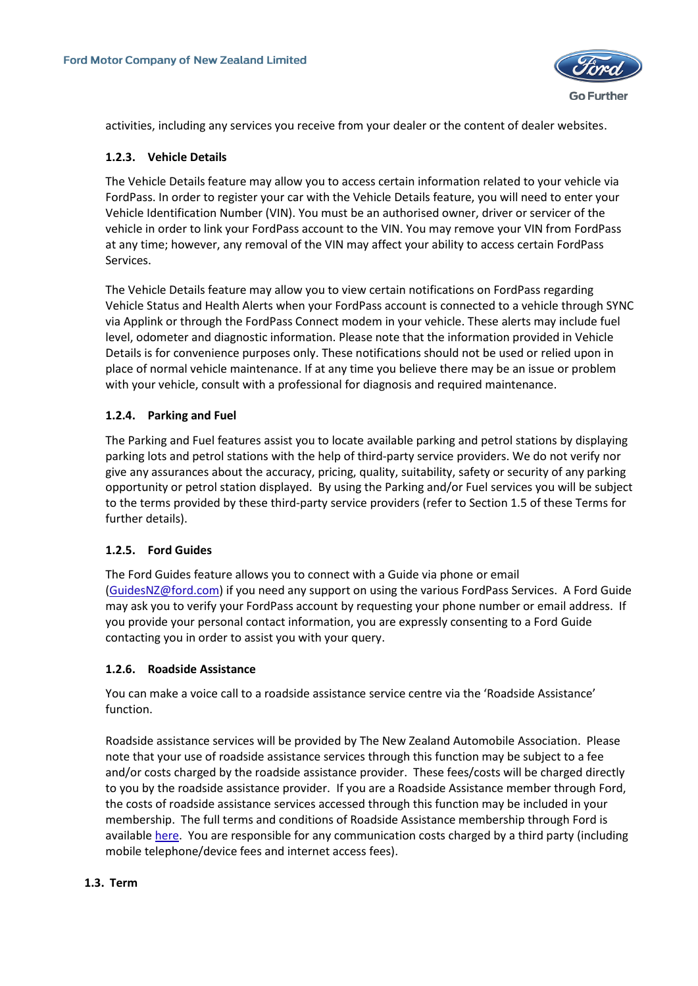

activities, including any services you receive from your dealer or the content of dealer websites.

### <span id="page-5-0"></span>**1.2.3. Vehicle Details**

The Vehicle Details feature may allow you to access certain information related to your vehicle via FordPass. In order to register your car with the Vehicle Details feature, you will need to enter your Vehicle Identification Number (VIN). You must be an authorised owner, driver or servicer of the vehicle in order to link your FordPass account to the VIN. You may remove your VIN from FordPass at any time; however, any removal of the VIN may affect your ability to access certain FordPass Services.

The Vehicle Details feature may allow you to view certain notifications on FordPass regarding Vehicle Status and Health Alerts when your FordPass account is connected to a vehicle through SYNC via Applink or through the FordPass Connect modem in your vehicle. These alerts may include fuel level, odometer and diagnostic information. Please note that the information provided in Vehicle Details is for convenience purposes only. These notifications should not be used or relied upon in place of normal vehicle maintenance. If at any time you believe there may be an issue or problem with your vehicle, consult with a professional for diagnosis and required maintenance.

# <span id="page-5-1"></span>**1.2.4. Parking and Fuel**

The Parking and Fuel features assist you to locate available parking and petrol stations by displaying parking lots and petrol stations with the help of third-party service providers. We do not verify nor give any assurances about the accuracy, pricing, quality, suitability, safety or security of any parking opportunity or petrol station displayed. By using the Parking and/or Fuel services you will be subject to the terms provided by these third-party service providers (refer to Section 1.5 of these Terms for further details).

#### <span id="page-5-2"></span>**1.2.5. Ford Guides**

The Ford Guides feature allows you to connect with a Guide via phone or email [\(GuidesNZ@ford.com\)](mailto:GuidesNZ@ford.com) if you need any support on using the various FordPass Services. A Ford Guide may ask you to verify your FordPass account by requesting your phone number or email address. If you provide your personal contact information, you are expressly consenting to a Ford Guide contacting you in order to assist you with your query.

#### <span id="page-5-3"></span>**1.2.6. Roadside Assistance**

You can make a voice call to a roadside assistance service centre via the 'Roadside Assistance' function.

Roadside assistance services will be provided by The New Zealand Automobile Association. Please note that your use of roadside assistance services through this function may be subject to a fee and/or costs charged by the roadside assistance provider. These fees/costs will be charged directly to you by the roadside assistance provider. If you are a Roadside Assistance member through Ford, the costs of roadside assistance services accessed through this function may be included in your membership. The full terms and conditions of Roadside Assistance membership through Ford is available [here.](https://www.ford.co.nz/owners/service/t-and-c/) You are responsible for any communication costs charged by a third party (including mobile telephone/device fees and internet access fees).

#### <span id="page-5-4"></span>**1.3. Term**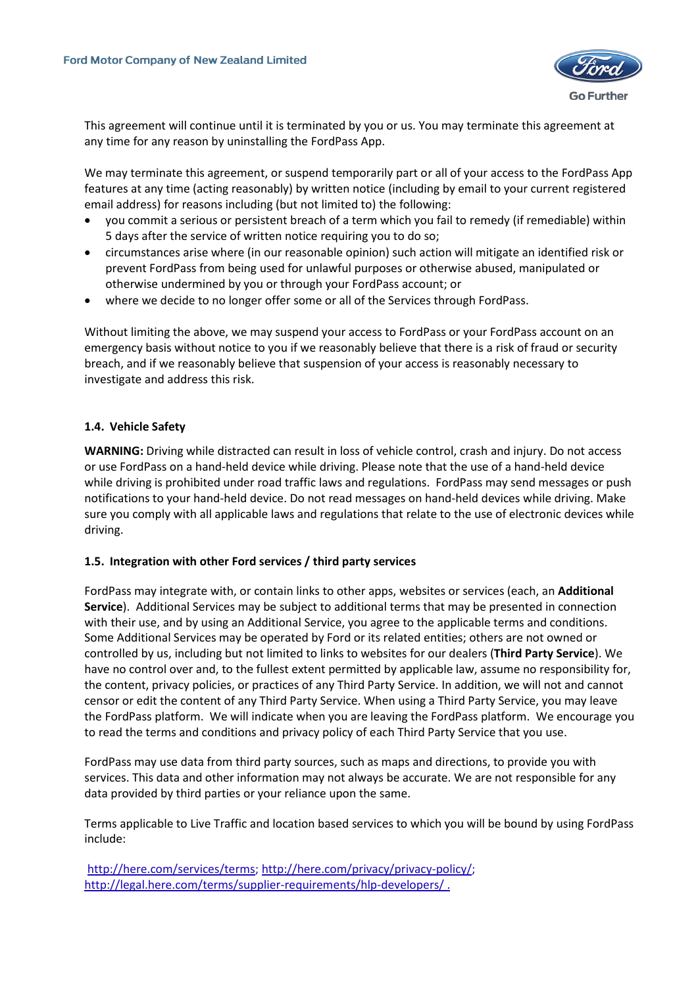

This agreement will continue until it is terminated by you or us. You may terminate this agreement at any time for any reason by uninstalling the FordPass App.

We may terminate this agreement, or suspend temporarily part or all of your access to the FordPass App features at any time (acting reasonably) by written notice (including by email to your current registered email address) for reasons including (but not limited to) the following:

- you commit a serious or persistent breach of a term which you fail to remedy (if remediable) within 5 days after the service of written notice requiring you to do so;
- circumstances arise where (in our reasonable opinion) such action will mitigate an identified risk or prevent FordPass from being used for unlawful purposes or otherwise abused, manipulated or otherwise undermined by you or through your FordPass account; or
- where we decide to no longer offer some or all of the Services through FordPass.

Without limiting the above, we may suspend your access to FordPass or your FordPass account on an emergency basis without notice to you if we reasonably believe that there is a risk of fraud or security breach, and if we reasonably believe that suspension of your access is reasonably necessary to investigate and address this risk.

# <span id="page-6-0"></span>**1.4. Vehicle Safety**

**WARNING:** Driving while distracted can result in loss of vehicle control, crash and injury. Do not access or use FordPass on a hand-held device while driving. Please note that the use of a hand-held device while driving is prohibited under road traffic laws and regulations. FordPass may send messages or push notifications to your hand-held device. Do not read messages on hand-held devices while driving. Make sure you comply with all applicable laws and regulations that relate to the use of electronic devices while driving.

#### **1.5. Integration with other Ford services / third party services**

<span id="page-6-1"></span>FordPass may integrate with, or contain links to other apps, websites or services (each, an **Additional Service**). Additional Services may be subject to additional terms that may be presented in connection with their use, and by using an Additional Service, you agree to the applicable terms and conditions. Some Additional Services may be operated by Ford or its related entities; others are not owned or controlled by us, including but not limited to links to websites for our dealers (**Third Party Service**). We have no control over and, to the fullest extent permitted by applicable law, assume no responsibility for, the content, privacy policies, or practices of any Third Party Service. In addition, we will not and cannot censor or edit the content of any Third Party Service. When using a Third Party Service, you may leave the FordPass platform. We will indicate when you are leaving the FordPass platform. We encourage you to read the terms and conditions and privacy policy of each Third Party Service that you use.

FordPass may use data from third party sources, such as maps and directions, to provide you with services. This data and other information may not always be accurate. We are not responsible for any data provided by third parties or your reliance upon the same.

Terms applicable to Live Traffic and location based services to which you will be bound by using FordPass include:

[http://here.com/services/terms;](http://here.com/services/terms) [http://here.com/privacy/privacy-policy/;](http://here.com/privacy/privacy-policy/) <http://legal.here.com/terms/supplier-requirements/hlp-developers/> .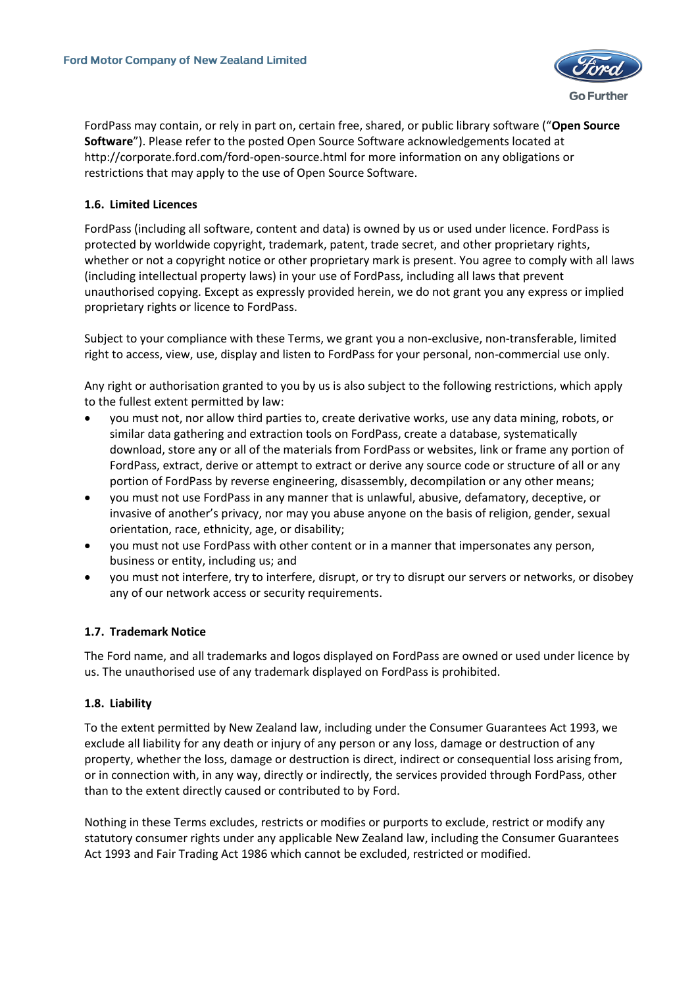

FordPass may contain, or rely in part on, certain free, shared, or public library software ("**Open Source Software**"). Please refer to the posted Open Source Software acknowledgements located at http://corporate.ford.com/ford-open-source.html for more information on any obligations or restrictions that may apply to the use of Open Source Software.

# <span id="page-7-0"></span>**1.6. Limited Licences**

FordPass (including all software, content and data) is owned by us or used under licence. FordPass is protected by worldwide copyright, trademark, patent, trade secret, and other proprietary rights, whether or not a copyright notice or other proprietary mark is present. You agree to comply with all laws (including intellectual property laws) in your use of FordPass, including all laws that prevent unauthorised copying. Except as expressly provided herein, we do not grant you any express or implied proprietary rights or licence to FordPass.

Subject to your compliance with these Terms, we grant you a non-exclusive, non-transferable, limited right to access, view, use, display and listen to FordPass for your personal, non-commercial use only.

Any right or authorisation granted to you by us is also subject to the following restrictions, which apply to the fullest extent permitted by law:

- you must not, nor allow third parties to, create derivative works, use any data mining, robots, or similar data gathering and extraction tools on FordPass, create a database, systematically download, store any or all of the materials from FordPass or websites, link or frame any portion of FordPass, extract, derive or attempt to extract or derive any source code or structure of all or any portion of FordPass by reverse engineering, disassembly, decompilation or any other means;
- you must not use FordPass in any manner that is unlawful, abusive, defamatory, deceptive, or invasive of another's privacy, nor may you abuse anyone on the basis of religion, gender, sexual orientation, race, ethnicity, age, or disability;
- you must not use FordPass with other content or in a manner that impersonates any person, business or entity, including us; and
- you must not interfere, try to interfere, disrupt, or try to disrupt our servers or networks, or disobey any of our network access or security requirements.

#### <span id="page-7-1"></span>**1.7. Trademark Notice**

The Ford name, and all trademarks and logos displayed on FordPass are owned or used under licence by us. The unauthorised use of any trademark displayed on FordPass is prohibited.

#### <span id="page-7-2"></span>**1.8. Liability**

To the extent permitted by New Zealand law, including under the Consumer Guarantees Act 1993, we exclude all liability for any death or injury of any person or any loss, damage or destruction of any property, whether the loss, damage or destruction is direct, indirect or consequential loss arising from, or in connection with, in any way, directly or indirectly, the services provided through FordPass, other than to the extent directly caused or contributed to by Ford.

Nothing in these Terms excludes, restricts or modifies or purports to exclude, restrict or modify any statutory consumer rights under any applicable New Zealand law, including the Consumer Guarantees Act 1993 and Fair Trading Act 1986 which cannot be excluded, restricted or modified.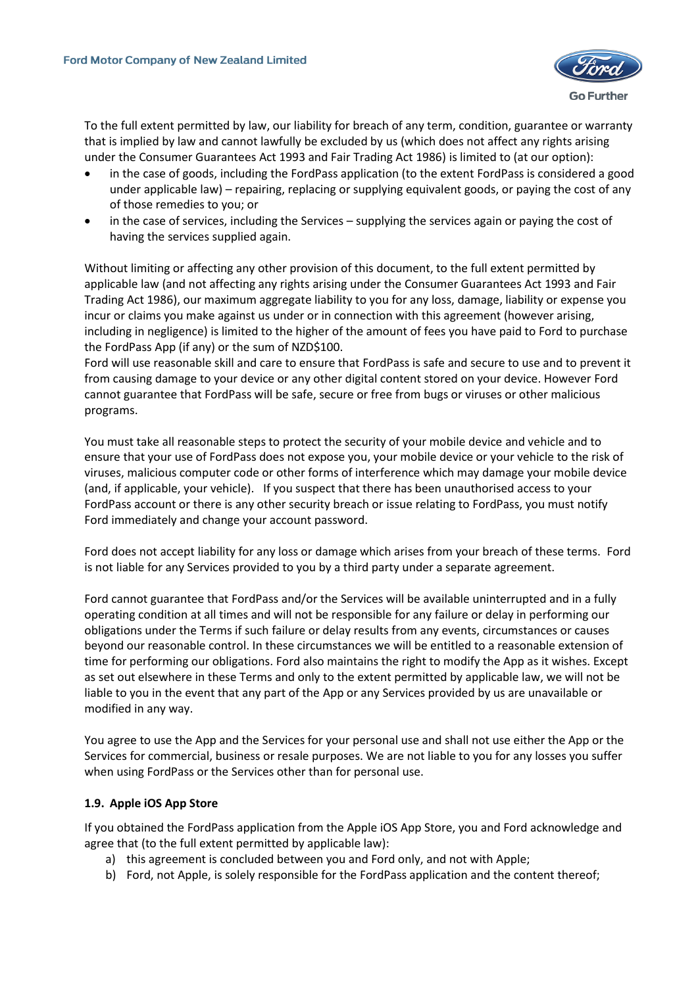

To the full extent permitted by law, our liability for breach of any term, condition, guarantee or warranty that is implied by law and cannot lawfully be excluded by us (which does not affect any rights arising under the Consumer Guarantees Act 1993 and Fair Trading Act 1986) is limited to (at our option):

- in the case of goods, including the FordPass application (to the extent FordPass is considered a good under applicable law) – repairing, replacing or supplying equivalent goods, or paying the cost of any of those remedies to you; or
- in the case of services, including the Services supplying the services again or paying the cost of having the services supplied again.

Without limiting or affecting any other provision of this document, to the full extent permitted by applicable law (and not affecting any rights arising under the Consumer Guarantees Act 1993 and Fair Trading Act 1986), our maximum aggregate liability to you for any loss, damage, liability or expense you incur or claims you make against us under or in connection with this agreement (however arising, including in negligence) is limited to the higher of the amount of fees you have paid to Ford to purchase the FordPass App (if any) or the sum of NZD\$100.

Ford will use reasonable skill and care to ensure that FordPass is safe and secure to use and to prevent it from causing damage to your device or any other digital content stored on your device. However Ford cannot guarantee that FordPass will be safe, secure or free from bugs or viruses or other malicious programs.

You must take all reasonable steps to protect the security of your mobile device and vehicle and to ensure that your use of FordPass does not expose you, your mobile device or your vehicle to the risk of viruses, malicious computer code or other forms of interference which may damage your mobile device (and, if applicable, your vehicle). If you suspect that there has been unauthorised access to your FordPass account or there is any other security breach or issue relating to FordPass, you must notify Ford immediately and change your account password.

Ford does not accept liability for any loss or damage which arises from your breach of these terms. Ford is not liable for any Services provided to you by a third party under a separate agreement.

Ford cannot guarantee that FordPass and/or the Services will be available uninterrupted and in a fully operating condition at all times and will not be responsible for any failure or delay in performing our obligations under the Terms if such failure or delay results from any events, circumstances or causes beyond our reasonable control. In these circumstances we will be entitled to a reasonable extension of time for performing our obligations. Ford also maintains the right to modify the App as it wishes. Except as set out elsewhere in these Terms and only to the extent permitted by applicable law, we will not be liable to you in the event that any part of the App or any Services provided by us are unavailable or modified in any way.

You agree to use the App and the Services for your personal use and shall not use either the App or the Services for commercial, business or resale purposes. We are not liable to you for any losses you suffer when using FordPass or the Services other than for personal use.

#### <span id="page-8-0"></span>**1.9. Apple iOS App Store**

If you obtained the FordPass application from the Apple iOS App Store, you and Ford acknowledge and agree that (to the full extent permitted by applicable law):

- a) this agreement is concluded between you and Ford only, and not with Apple;
- b) Ford, not Apple, is solely responsible for the FordPass application and the content thereof;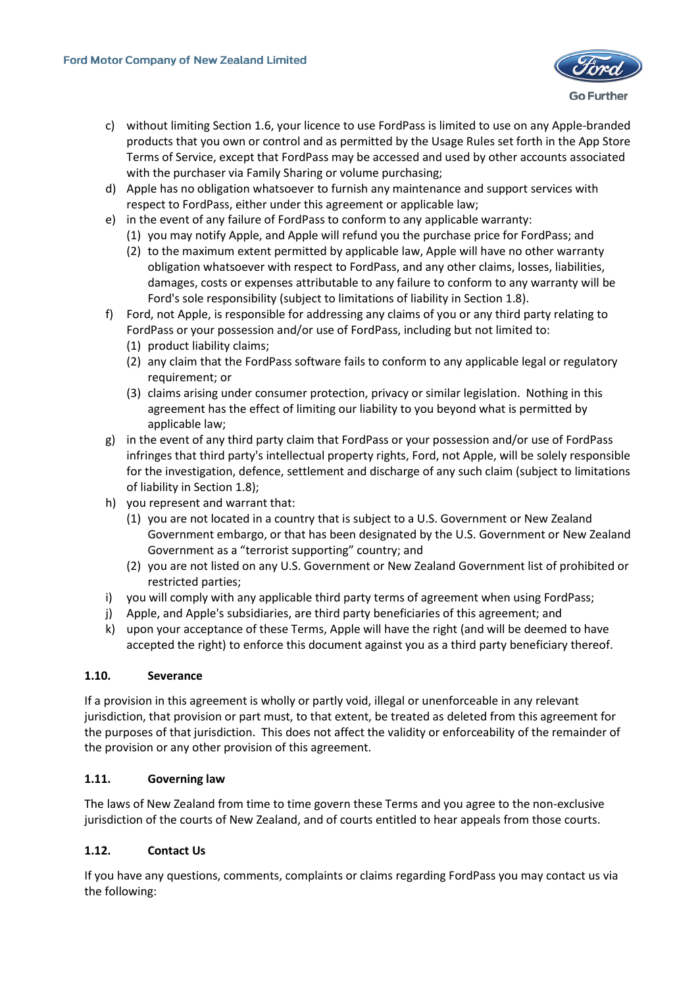

- c) without limiting Section 1.6, your licence to use FordPass is limited to use on any Apple-branded products that you own or control and as permitted by the Usage Rules set forth in the App Store Terms of Service, except that FordPass may be accessed and used by other accounts associated with the purchaser via Family Sharing or volume purchasing;
- d) Apple has no obligation whatsoever to furnish any maintenance and support services with respect to FordPass, either under this agreement or applicable law;
- e) in the event of any failure of FordPass to conform to any applicable warranty:
	- (1) you may notify Apple, and Apple will refund you the purchase price for FordPass; and
	- (2) to the maximum extent permitted by applicable law, Apple will have no other warranty obligation whatsoever with respect to FordPass, and any other claims, losses, liabilities, damages, costs or expenses attributable to any failure to conform to any warranty will be Ford's sole responsibility (subject to limitations of liability in Section 1.8).
- f) Ford, not Apple, is responsible for addressing any claims of you or any third party relating to FordPass or your possession and/or use of FordPass, including but not limited to:
	- (1) product liability claims;
	- (2) any claim that the FordPass software fails to conform to any applicable legal or regulatory requirement; or
	- (3) claims arising under consumer protection, privacy or similar legislation. Nothing in this agreement has the effect of limiting our liability to you beyond what is permitted by applicable law;
- g) in the event of any third party claim that FordPass or your possession and/or use of FordPass infringes that third party's intellectual property rights, Ford, not Apple, will be solely responsible for the investigation, defence, settlement and discharge of any such claim (subject to limitations of liability in Section 1.8);
- h) you represent and warrant that:
	- (1) you are not located in a country that is subject to a U.S. Government or New Zealand Government embargo, or that has been designated by the U.S. Government or New Zealand Government as a "terrorist supporting" country; and
	- (2) you are not listed on any U.S. Government or New Zealand Government list of prohibited or restricted parties;
- i) you will comply with any applicable third party terms of agreement when using FordPass;
- j) Apple, and Apple's subsidiaries, are third party beneficiaries of this agreement; and
- k) upon your acceptance of these Terms, Apple will have the right (and will be deemed to have accepted the right) to enforce this document against you as a third party beneficiary thereof.

#### <span id="page-9-0"></span>**1.10. Severance**

If a provision in this agreement is wholly or partly void, illegal or unenforceable in any relevant jurisdiction, that provision or part must, to that extent, be treated as deleted from this agreement for the purposes of that jurisdiction. This does not affect the validity or enforceability of the remainder of the provision or any other provision of this agreement.

#### <span id="page-9-1"></span>**1.11. Governing law**

The laws of New Zealand from time to time govern these Terms and you agree to the non-exclusive jurisdiction of the courts of New Zealand, and of courts entitled to hear appeals from those courts.

# <span id="page-9-2"></span>**1.12. Contact Us**

If you have any questions, comments, complaints or claims regarding FordPass you may contact us via the following: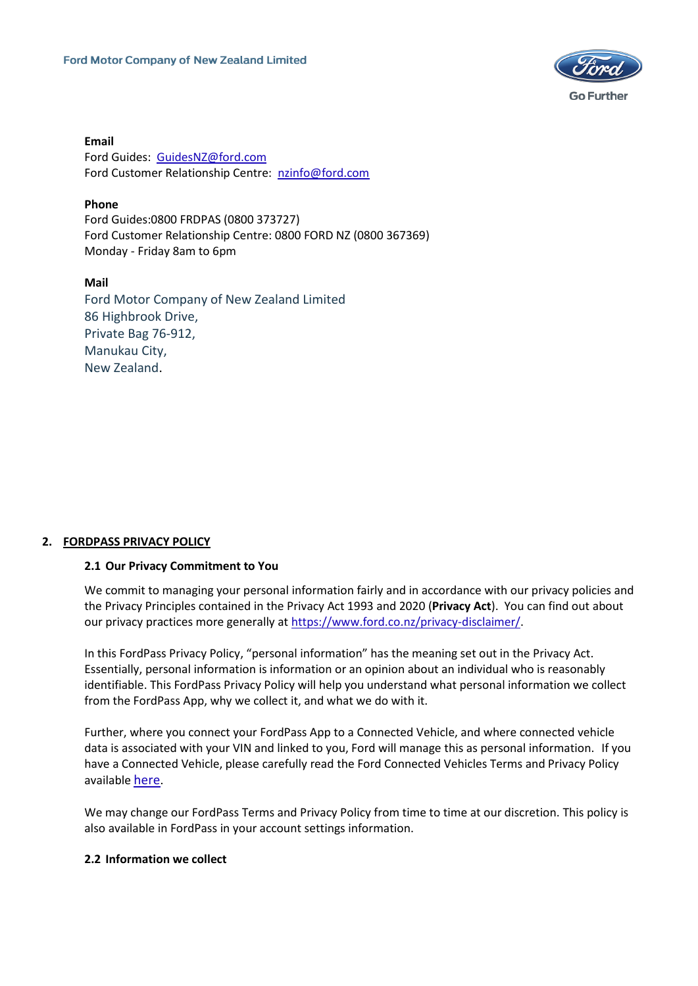

**Email** Ford Guides: [GuidesNZ@ford.com](mailto:GuidesNZ@ford.com) Ford Customer Relationship Centre: [nzinfo@ford.com](mailto:nzinfo@ford.com)

# **Phone**

Ford Guides:0800 FRDPAS (0800 373727) Ford Customer Relationship Centre: 0800 FORD NZ (0800 367369) Monday - Friday 8am to 6pm

#### **Mail**

Ford Motor Company of New Zealand Limited 86 Highbrook Drive, Private Bag 76-912, Manukau City, New Zealand.

#### <span id="page-10-0"></span>**2. FORDPASS PRIVACY POLICY**

#### <span id="page-10-1"></span>**2.1 Our Privacy Commitment to You**

We commit to managing your personal information fairly and in accordance with our privacy policies and the Privacy Principles contained in the Privacy Act 1993 and 2020 (**Privacy Act**). You can find out about our privacy practices more generally at [https://www.ford.co.nz/privacy-disclaimer/.](https://www.ford.co.nz/privacy-disclaimer/)

In this FordPass Privacy Policy, "personal information" has the meaning set out in the Privacy Act. Essentially, personal information is information or an opinion about an individual who is reasonably identifiable. This FordPass Privacy Policy will help you understand what personal information we collect from the FordPass App, why we collect it, and what we do with it.

Further, where you connect your FordPass App to a Connected Vehicle, and where connected vehicle data is associated with your VIN and linked to you, Ford will manage this as personal information. If you have a Connected Vehicle, please carefully read the Ford Connected Vehicles Terms and Privacy Policy available [here](https://www.ford.co.nz/fordpass/).

We may change our FordPass Terms and Privacy Policy from time to time at our discretion. This policy is also available in FordPass in your account settings information.

#### <span id="page-10-2"></span>**2.2 Information we collect**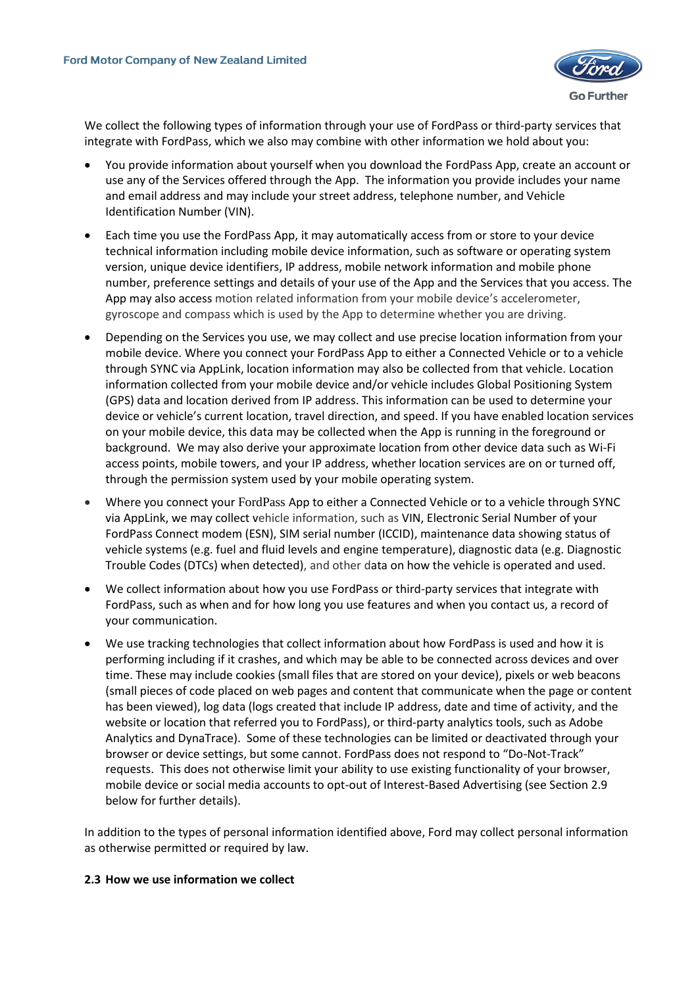

We collect the following types of information through your use of FordPass or third-party services that integrate with FordPass, which we also may combine with other information we hold about you:

- You provide information about yourself when you download the FordPass App, create an account or use any of the Services offered through the App. The information you provide includes your name and email address and may include your street address, telephone number, and Vehicle Identification Number (VIN).
- Each time you use the FordPass App, it may automatically access from or store to your device technical information including mobile device information, such as software or operating system version, unique device identifiers, IP address, mobile network information and mobile phone number, preference settings and details of your use of the App and the Services that you access. The App may also access motion related information from your mobile device's accelerometer, gyroscope and compass which is used by the App to determine whether you are driving.
- Depending on the Services you use, we may collect and use precise location information from your mobile device. Where you connect your FordPass App to either a Connected Vehicle or to a vehicle through SYNC via AppLink, location information may also be collected from that vehicle. Location information collected from your mobile device and/or vehicle includes Global Positioning System (GPS) data and location derived from IP address. This information can be used to determine your device or vehicle's current location, travel direction, and speed. If you have enabled location services on your mobile device, this data may be collected when the App is running in the foreground or background. We may also derive your approximate location from other device data such as Wi-Fi access points, mobile towers, and your IP address, whether location services are on or turned off, through the permission system used by your mobile operating system.
- Where you connect your FordPass App to either a Connected Vehicle or to a vehicle through SYNC via AppLink, we may collect vehicle information, such as VIN, Electronic Serial Number of your FordPass Connect modem (ESN), SIM serial number (ICCID), maintenance data showing status of vehicle systems (e.g. fuel and fluid levels and engine temperature), diagnostic data (e.g. Diagnostic Trouble Codes (DTCs) when detected), and other data on how the vehicle is operated and used.
- We collect information about how you use FordPass or third-party services that integrate with FordPass, such as when and for how long you use features and when you contact us, a record of your communication.
- We use tracking technologies that collect information about how FordPass is used and how it is performing including if it crashes, and which may be able to be connected across devices and over time. These may include cookies (small files that are stored on your device), pixels or web beacons (small pieces of code placed on web pages and content that communicate when the page or content has been viewed), log data (logs created that include IP address, date and time of activity, and the website or location that referred you to FordPass), or third-party analytics tools, such as Adobe Analytics and DynaTrace). Some of these technologies can be limited or deactivated through your browser or device settings, but some cannot. FordPass does not respond to "Do-Not-Track" requests. This does not otherwise limit your ability to use existing functionality of your browser, mobile device or social media accounts to opt-out of Interest-Based Advertising (see Section 2.9 below for further details).

In addition to the types of personal information identified above, Ford may collect personal information as otherwise permitted or required by law.

#### <span id="page-11-0"></span>**2.3 How we use information we collect**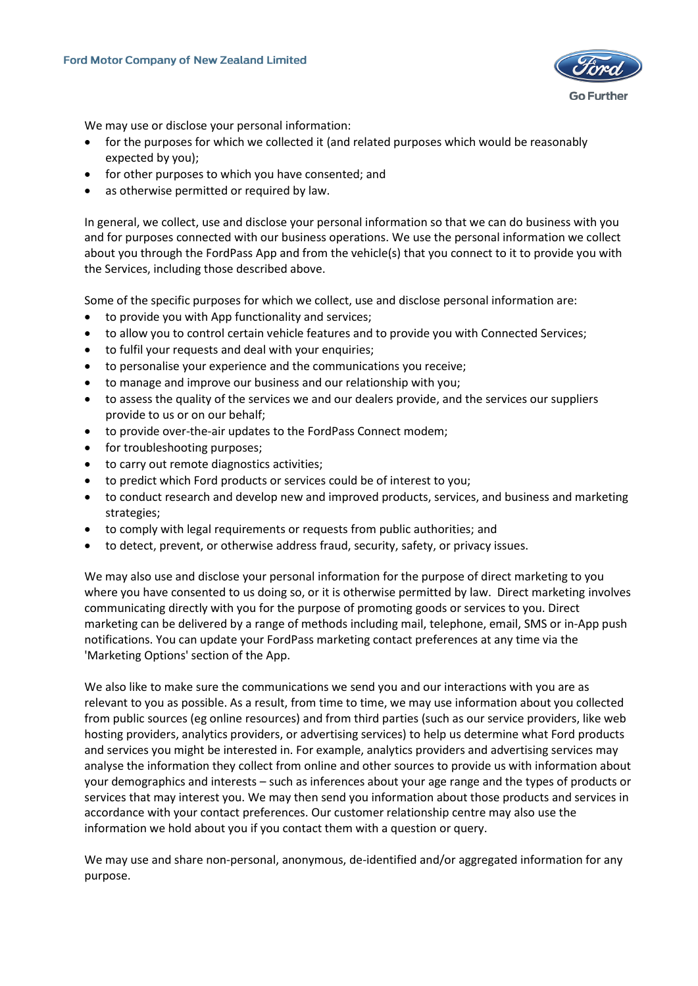

We may use or disclose your personal information:

- for the purposes for which we collected it (and related purposes which would be reasonably expected by you);
- for other purposes to which you have consented; and
- as otherwise permitted or required by law.

In general, we collect, use and disclose your personal information so that we can do business with you and for purposes connected with our business operations. We use the personal information we collect about you through the FordPass App and from the vehicle(s) that you connect to it to provide you with the Services, including those described above.

Some of the specific purposes for which we collect, use and disclose personal information are:

- to provide you with App functionality and services;
- to allow you to control certain vehicle features and to provide you with Connected Services;
- to fulfil your requests and deal with your enquiries;
- to personalise your experience and the communications you receive;
- to manage and improve our business and our relationship with you;
- to assess the quality of the services we and our dealers provide, and the services our suppliers provide to us or on our behalf;
- to provide over-the-air updates to the FordPass Connect modem;
- for troubleshooting purposes;
- to carry out remote diagnostics activities;
- to predict which Ford products or services could be of interest to you;
- to conduct research and develop new and improved products, services, and business and marketing strategies;
- to comply with legal requirements or requests from public authorities; and
- to detect, prevent, or otherwise address fraud, security, safety, or privacy issues.

We may also use and disclose your personal information for the purpose of direct marketing to you where you have consented to us doing so, or it is otherwise permitted by law. Direct marketing involves communicating directly with you for the purpose of promoting goods or services to you. Direct marketing can be delivered by a range of methods including mail, telephone, email, SMS or in-App push notifications. You can update your FordPass marketing contact preferences at any time via the 'Marketing Options' section of the App.

We also like to make sure the communications we send you and our interactions with you are as relevant to you as possible. As a result, from time to time, we may use information about you collected from public sources (eg online resources) and from third parties (such as our service providers, like web hosting providers, analytics providers, or advertising services) to help us determine what Ford products and services you might be interested in. For example, analytics providers and advertising services may analyse the information they collect from online and other sources to provide us with information about your demographics and interests – such as inferences about your age range and the types of products or services that may interest you. We may then send you information about those products and services in accordance with your contact preferences. Our customer relationship centre may also use the information we hold about you if you contact them with a question or query.

We may use and share non-personal, anonymous, de-identified and/or aggregated information for any purpose.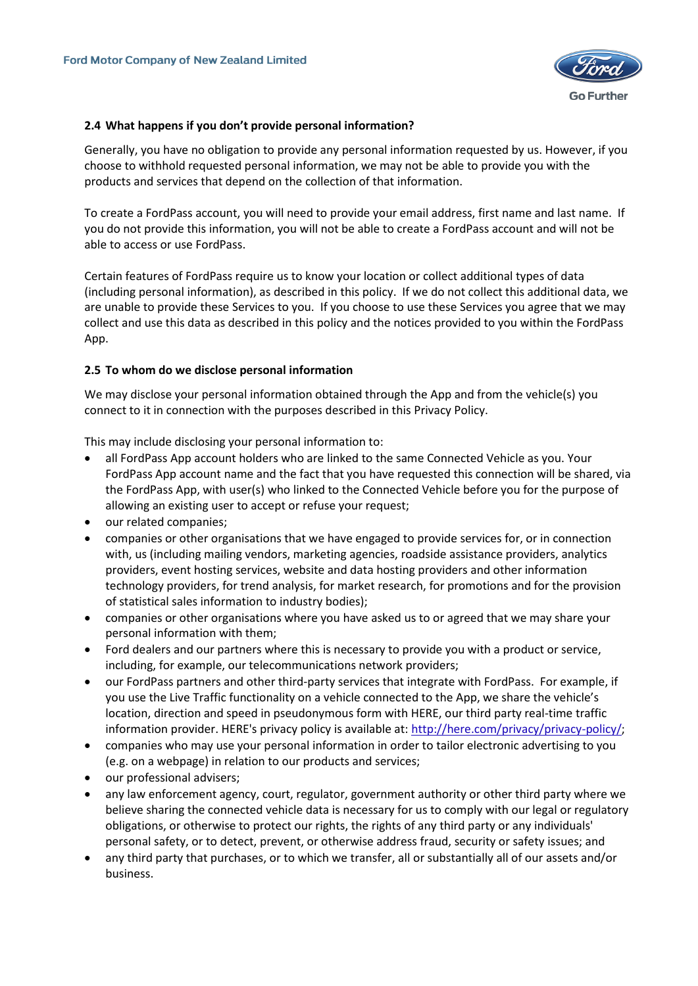

### <span id="page-13-0"></span>**2.4 What happens if you don't provide personal information?**

Generally, you have no obligation to provide any personal information requested by us. However, if you choose to withhold requested personal information, we may not be able to provide you with the products and services that depend on the collection of that information.

To create a FordPass account, you will need to provide your email address, first name and last name. If you do not provide this information, you will not be able to create a FordPass account and will not be able to access or use FordPass.

Certain features of FordPass require us to know your location or collect additional types of data (including personal information), as described in this policy. If we do not collect this additional data, we are unable to provide these Services to you. If you choose to use these Services you agree that we may collect and use this data as described in this policy and the notices provided to you within the FordPass App.

# <span id="page-13-1"></span>**2.5 To whom do we disclose personal information**

We may disclose your personal information obtained through the App and from the vehicle(s) you connect to it in connection with the purposes described in this Privacy Policy.

This may include disclosing your personal information to:

- all FordPass App account holders who are linked to the same Connected Vehicle as you. Your FordPass App account name and the fact that you have requested this connection will be shared, via the FordPass App, with user(s) who linked to the Connected Vehicle before you for the purpose of allowing an existing user to accept or refuse your request;
- our related companies;
- companies or other organisations that we have engaged to provide services for, or in connection with, us (including mailing vendors, marketing agencies, roadside assistance providers, analytics providers, event hosting services, website and data hosting providers and other information technology providers, for trend analysis, for market research, for promotions and for the provision of statistical sales information to industry bodies);
- companies or other organisations where you have asked us to or agreed that we may share your personal information with them;
- Ford dealers and our partners where this is necessary to provide you with a product or service, including, for example, our telecommunications network providers;
- our FordPass partners and other third-party services that integrate with FordPass. For example, if you use the Live Traffic functionality on a vehicle connected to the App, we share the vehicle's location, direction and speed in pseudonymous form with HERE, our third party real-time traffic information provider. HERE's privacy policy is available at[: http://here.com/privacy/privacy-policy/;](http://here.com/privacy/privacy-policy/)
- companies who may use your personal information in order to tailor electronic advertising to you (e.g. on a webpage) in relation to our products and services;
- our professional advisers;
- any law enforcement agency, court, regulator, government authority or other third party where we believe sharing the connected vehicle data is necessary for us to comply with our legal or regulatory obligations, or otherwise to protect our rights, the rights of any third party or any individuals' personal safety, or to detect, prevent, or otherwise address fraud, security or safety issues; and
- any third party that purchases, or to which we transfer, all or substantially all of our assets and/or business.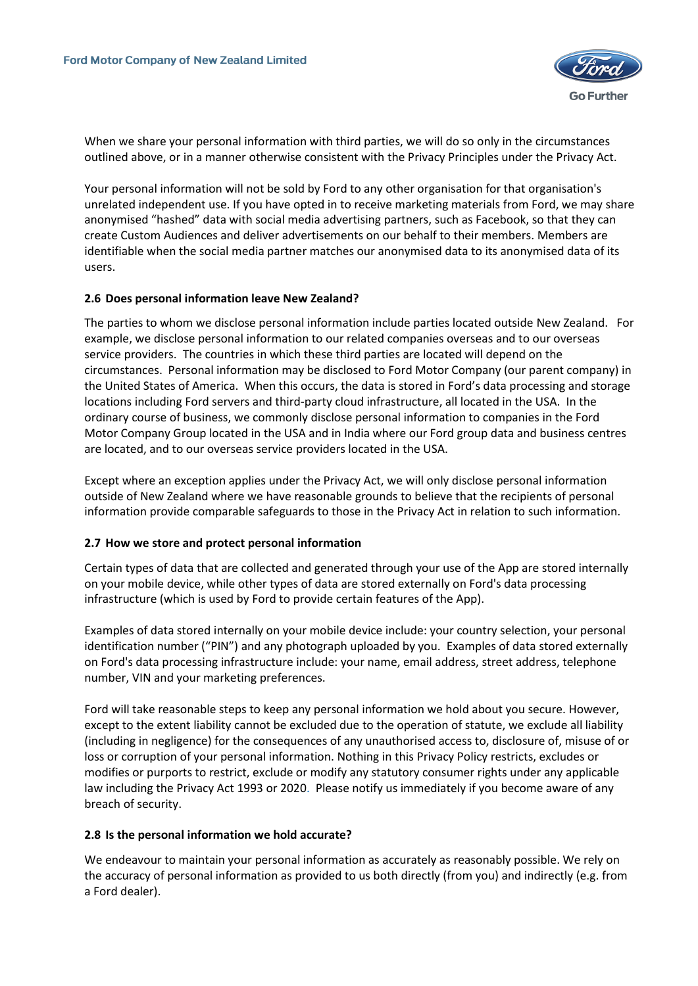

When we share your personal information with third parties, we will do so only in the circumstances outlined above, or in a manner otherwise consistent with the Privacy Principles under the Privacy Act.

Your personal information will not be sold by Ford to any other organisation for that organisation's unrelated independent use. If you have opted in to receive marketing materials from Ford, we may share anonymised "hashed" data with social media advertising partners, such as Facebook, so that they can create Custom Audiences and deliver advertisements on our behalf to their members. Members are identifiable when the social media partner matches our anonymised data to its anonymised data of its users.

#### <span id="page-14-0"></span>**2.6 Does personal information leave New Zealand?**

The parties to whom we disclose personal information include parties located outside New Zealand. For example, we disclose personal information to our related companies overseas and to our overseas service providers. The countries in which these third parties are located will depend on the circumstances. Personal information may be disclosed to Ford Motor Company (our parent company) in the United States of America. When this occurs, the data is stored in Ford's data processing and storage locations including Ford servers and third-party cloud infrastructure, all located in the USA. In the ordinary course of business, we commonly disclose personal information to companies in the Ford Motor Company Group located in the USA and in India where our Ford group data and business centres are located, and to our overseas service providers located in the USA.

Except where an exception applies under the Privacy Act, we will only disclose personal information outside of New Zealand where we have reasonable grounds to believe that the recipients of personal information provide comparable safeguards to those in the Privacy Act in relation to such information.

#### <span id="page-14-1"></span>**2.7 How we store and protect personal information**

Certain types of data that are collected and generated through your use of the App are stored internally on your mobile device, while other types of data are stored externally on Ford's data processing infrastructure (which is used by Ford to provide certain features of the App).

Examples of data stored internally on your mobile device include: your country selection, your personal identification number ("PIN") and any photograph uploaded by you. Examples of data stored externally on Ford's data processing infrastructure include: your name, email address, street address, telephone number, VIN and your marketing preferences.

Ford will take reasonable steps to keep any personal information we hold about you secure. However, except to the extent liability cannot be excluded due to the operation of statute, we exclude all liability (including in negligence) for the consequences of any unauthorised access to, disclosure of, misuse of or loss or corruption of your personal information. Nothing in this Privacy Policy restricts, excludes or modifies or purports to restrict, exclude or modify any statutory consumer rights under any applicable law including the Privacy Act 1993 or 2020. Please notify us immediately if you become aware of any breach of security.

#### <span id="page-14-2"></span>**2.8 Is the personal information we hold accurate?**

We endeavour to maintain your personal information as accurately as reasonably possible. We rely on the accuracy of personal information as provided to us both directly (from you) and indirectly (e.g. from a Ford dealer).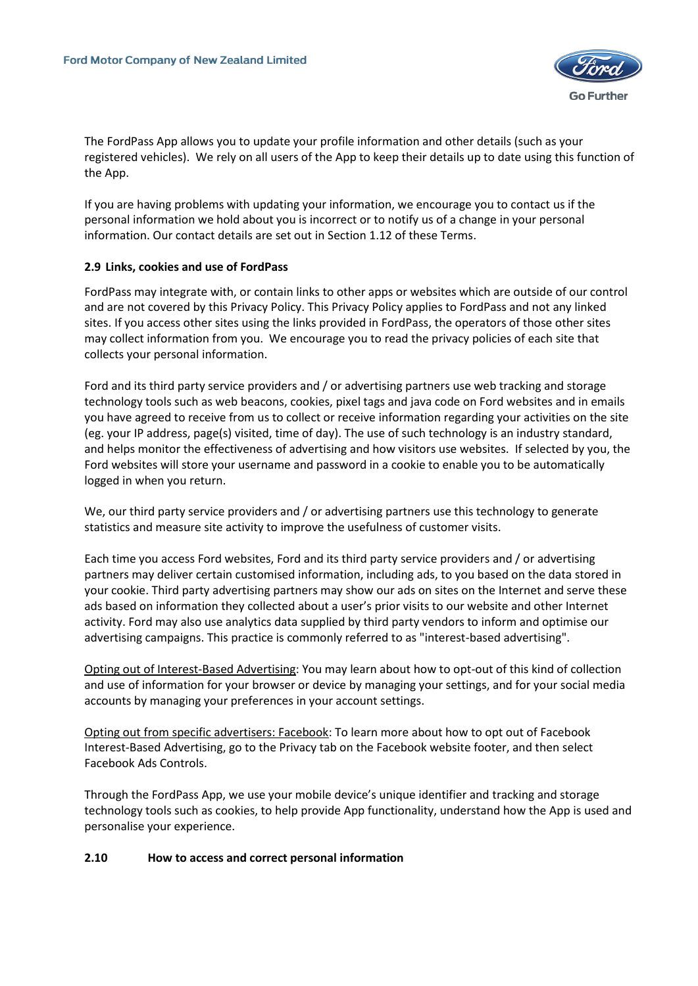

The FordPass App allows you to update your profile information and other details (such as your registered vehicles). We rely on all users of the App to keep their details up to date using this function of the App.

If you are having problems with updating your information, we encourage you to contact us if the personal information we hold about you is incorrect or to notify us of a change in your personal information. Our contact details are set out in Section 1.12 of these Terms.

#### <span id="page-15-0"></span>**2.9 Links, cookies and use of FordPass**

FordPass may integrate with, or contain links to other apps or websites which are outside of our control and are not covered by this Privacy Policy. This Privacy Policy applies to FordPass and not any linked sites. If you access other sites using the links provided in FordPass, the operators of those other sites may collect information from you. We encourage you to read the privacy policies of each site that collects your personal information.

Ford and its third party service providers and / or advertising partners use web tracking and storage technology tools such as web beacons, cookies, pixel tags and java code on Ford websites and in emails you have agreed to receive from us to collect or receive information regarding your activities on the site (eg. your IP address, page(s) visited, time of day). The use of such technology is an industry standard, and helps monitor the effectiveness of advertising and how visitors use websites. If selected by you, the Ford websites will store your username and password in a cookie to enable you to be automatically logged in when you return.

We, our third party service providers and / or advertising partners use this technology to generate statistics and measure site activity to improve the usefulness of customer visits.

Each time you access Ford websites, Ford and its third party service providers and / or advertising partners may deliver certain customised information, including ads, to you based on the data stored in your cookie. Third party advertising partners may show our ads on sites on the Internet and serve these ads based on information they collected about a user's prior visits to our website and other Internet activity. Ford may also use analytics data supplied by third party vendors to inform and optimise our advertising campaigns. This practice is commonly referred to as "interest-based advertising".

Opting out of Interest-Based Advertising: You may learn about how to opt-out of this kind of collection and use of information for your browser or device by managing your settings, and for your social media accounts by managing your preferences in your account settings.

Opting out from specific advertisers: Facebook: To learn more about how to opt out of Facebook Interest-Based Advertising, go to the Privacy tab on the Facebook website footer, and then select Facebook Ads Controls.

Through the FordPass App, we use your mobile device's unique identifier and tracking and storage technology tools such as cookies, to help provide App functionality, understand how the App is used and personalise your experience.

#### <span id="page-15-1"></span>**2.10 How to access and correct personal information**